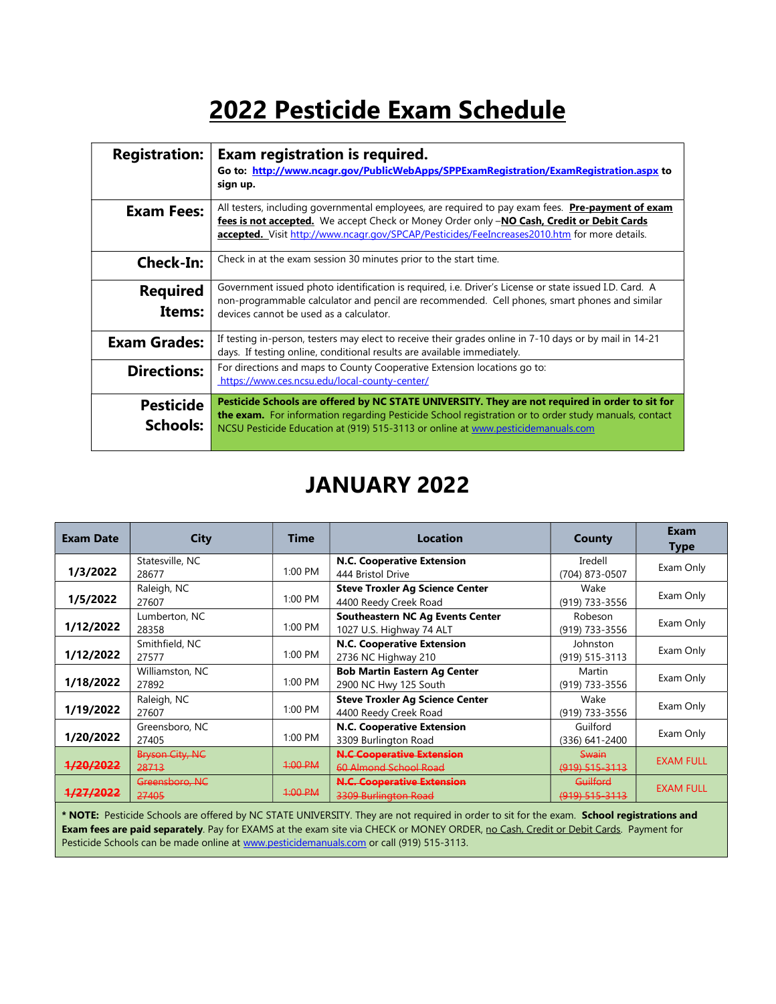# 2022 Pesticide Exam Schedule

| <b>Registration:</b>         | Exam registration is required.<br>Go to: http://www.ncagr.gov/PublicWebApps/SPPExamRegistration/ExamRegistration.aspx to<br>sign up.                                                                                                                                                           |
|------------------------------|------------------------------------------------------------------------------------------------------------------------------------------------------------------------------------------------------------------------------------------------------------------------------------------------|
| <b>Exam Fees:</b>            | All testers, including governmental employees, are required to pay exam fees. Pre-payment of exam<br>fees is not accepted. We accept Check or Money Order only -NO Cash, Credit or Debit Cards<br>accepted. Visit http://www.ncagr.gov/SPCAP/Pesticides/FeeIncreases2010.htm for more details. |
| <b>Check-In:</b>             | Check in at the exam session 30 minutes prior to the start time.                                                                                                                                                                                                                               |
| <b>Required</b><br>Items:    | Government issued photo identification is required, i.e. Driver's License or state issued I.D. Card. A<br>non-programmable calculator and pencil are recommended. Cell phones, smart phones and similar<br>devices cannot be used as a calculator.                                             |
| <b>Exam Grades:</b>          | If testing in-person, testers may elect to receive their grades online in 7-10 days or by mail in 14-21<br>days. If testing online, conditional results are available immediately.                                                                                                             |
| <b>Directions:</b>           | For directions and maps to County Cooperative Extension locations go to:<br>https://www.ces.ncsu.edu/local-county-center/                                                                                                                                                                      |
| <b>Pesticide</b><br>Schools: | Pesticide Schools are offered by NC STATE UNIVERSITY. They are not required in order to sit for<br>the exam. For information regarding Pesticide School registration or to order study manuals, contact<br>NCSU Pesticide Education at (919) 515-3113 or online at www.pesticidemanuals.com    |

### JANUARY 2022

| <b>Exam Date</b>     | City                                                                                                                                                 | <b>Time</b> | <b>Location</b>                                                 | County                           | Exam<br>Type     |  |  |
|----------------------|------------------------------------------------------------------------------------------------------------------------------------------------------|-------------|-----------------------------------------------------------------|----------------------------------|------------------|--|--|
| 1/3/2022             | Statesville, NC<br>28677                                                                                                                             | $1:00$ PM   | N.C. Cooperative Extension<br>444 Bristol Drive                 | Iredell<br>(704) 873-0507        | Exam Only        |  |  |
| 1/5/2022             | Raleigh, NC<br>27607                                                                                                                                 | 1:00 PM     | <b>Steve Troxler Ag Science Center</b><br>4400 Reedy Creek Road | Wake<br>(919) 733-3556           | Exam Only        |  |  |
| 1/12/2022            | Lumberton, NC<br>28358                                                                                                                               | 1:00 PM     | Southeastern NC Ag Events Center<br>1027 U.S. Highway 74 ALT    | Robeson<br>(919) 733-3556        | Exam Only        |  |  |
| 1/12/2022            | Smithfield, NC<br>27577                                                                                                                              | 1:00 PM     | <b>N.C. Cooperative Extension</b><br>2736 NC Highway 210        | Johnston<br>(919) 515-3113       | Exam Only        |  |  |
| 1/18/2022            | Williamston, NC<br>27892                                                                                                                             | 1:00 PM     | <b>Bob Martin Eastern Ag Center</b><br>2900 NC Hwy 125 South    | Martin<br>(919) 733-3556         | Exam Only        |  |  |
| 1/19/2022            | Raleigh, NC<br>27607                                                                                                                                 | 1:00 PM     | <b>Steve Troxler Ag Science Center</b><br>4400 Reedy Creek Road | Wake<br>(919) 733-3556           | Exam Only        |  |  |
| 1/20/2022            | Greensboro, NC<br>27405                                                                                                                              | 1:00 PM     | <b>N.C. Cooperative Extension</b><br>3309 Burlington Road       | Guilford<br>$(336)$ 641-2400     | Exam Only        |  |  |
| <del>1/20/2022</del> | <b>Bryson City, NC</b><br>28713                                                                                                                      | $4:00$ PM   | <b>N.C Cooperative Extension</b><br>60 Almond School Road       | <b>Swain</b><br>$(919)$ 515-3113 | <b>EXAM FULL</b> |  |  |
| <del>1/27/2022</del> | Greensboro, NC<br>27405                                                                                                                              | $4:00$ PM   | <b>N.C. Cooperative Extension</b><br>3309 Burlington Road       | Guilford<br>$(919)$ 515-3113     | <b>EXAM FULL</b> |  |  |
|                      | $\alpha$ II Meeting $\alpha$<br>the contract of the contract of the contract of the contract of the contract of the contract of the contract of<br>. |             |                                                                 |                                  |                  |  |  |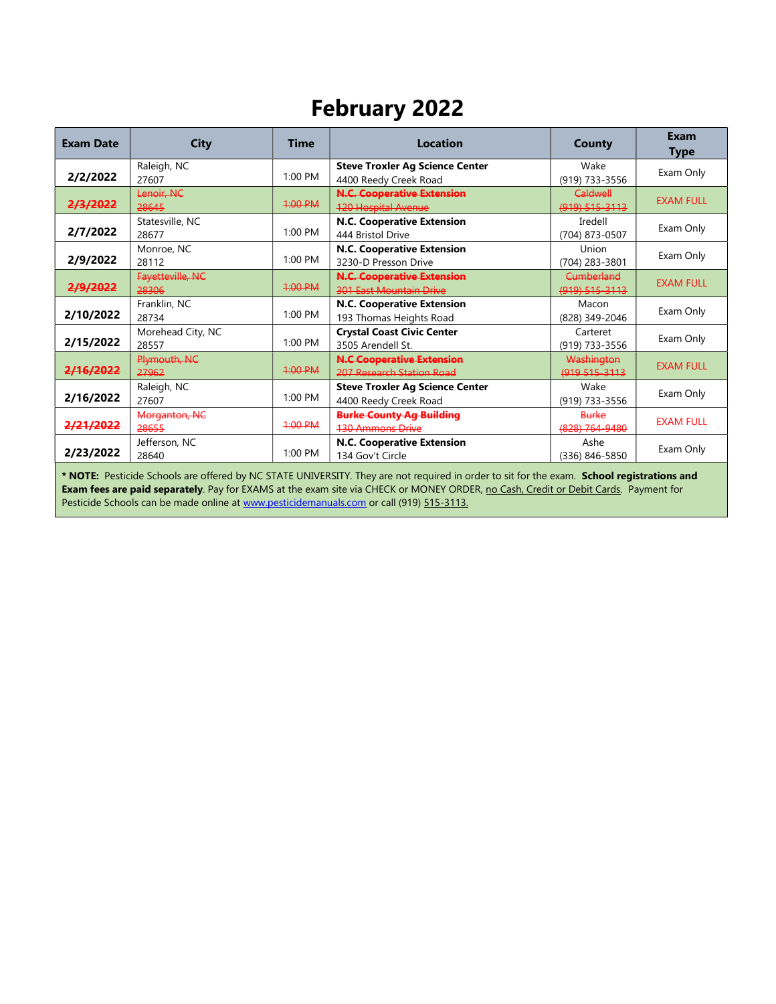# February 2022

| <b>Exam Date</b>                                                                                                                                                                                                                                                                  | <b>City</b>                | <b>Time</b> | <b>Location</b>                                                     | <b>County</b>                    | Exam<br><b>Type</b> |  |
|-----------------------------------------------------------------------------------------------------------------------------------------------------------------------------------------------------------------------------------------------------------------------------------|----------------------------|-------------|---------------------------------------------------------------------|----------------------------------|---------------------|--|
| 2/2/2022                                                                                                                                                                                                                                                                          | Raleigh, NC<br>27607       | $1:00$ PM   | <b>Steve Troxler Ag Science Center</b><br>4400 Reedy Creek Road     | Wake<br>(919) 733-3556           | Exam Only           |  |
| 2/3/2022                                                                                                                                                                                                                                                                          | Lenoir, NC<br>28645        | 4:00 PM     | <b>N.C. Cooperative Extension</b><br><b>120 Hospital Avenue</b>     | Caldwell<br>$(919) 515 - 3113$   | <b>EXAM FULL</b>    |  |
| 2/7/2022                                                                                                                                                                                                                                                                          | Statesville, NC<br>28677   | 1:00 PM     | <b>N.C. Cooperative Extension</b><br>444 Bristol Drive              | Iredell<br>(704) 873-0507        | Exam Only           |  |
| 2/9/2022                                                                                                                                                                                                                                                                          | Monroe, NC<br>28112        | $1:00$ PM   | N.C. Cooperative Extension<br>3230-D Presson Drive                  | Union<br>(704) 283-3801          | Exam Only           |  |
| 2/9/2022                                                                                                                                                                                                                                                                          | Fayetteville, NC<br>28306  | 1:00 PM     | <b>N.C. Cooperative Extension</b><br><b>301 East Mountain Drive</b> | Cumberland<br>$(919) 515 - 3113$ | <b>EXAM FULL</b>    |  |
| 2/10/2022                                                                                                                                                                                                                                                                         | Franklin, NC<br>28734      | $1:00$ PM   | N.C. Cooperative Extension<br>193 Thomas Heights Road               | Macon<br>(828) 349-2046          | Exam Only           |  |
| 2/15/2022                                                                                                                                                                                                                                                                         | Morehead City, NC<br>28557 | $1:00$ PM   | <b>Crystal Coast Civic Center</b><br>3505 Arendell St.              | Carteret<br>(919) 733-3556       | Exam Only           |  |
| 2/16/2022                                                                                                                                                                                                                                                                         | Plymouth, NC<br>27962      | $4:00$ PM   | <b>N.C Cooperative Extension</b><br>207 Research Station Road       | Washington<br>(919 515-3113)     | <b>EXAM FULL</b>    |  |
| 2/16/2022                                                                                                                                                                                                                                                                         | Raleigh, NC<br>27607       | $1:00$ PM   | <b>Steve Troxler Ag Science Center</b><br>4400 Reedy Creek Road     | Wake<br>(919) 733-3556           | Exam Only           |  |
| 2/21/2022                                                                                                                                                                                                                                                                         | Morganton, NC<br>28655     | 1:00 P M    | <b>Burke County Ag Building</b><br><b>130 Ammons Drive</b>          | <b>Burke</b><br>$(828)$ 764-9480 | <b>EXAM FULL</b>    |  |
| 2/23/2022                                                                                                                                                                                                                                                                         | Jefferson, NC<br>28640     | 1:00 PM     | N.C. Cooperative Extension<br>134 Gov't Circle                      | Ashe<br>(336) 846-5850           | Exam Only           |  |
| * NOTE: Pesticide Schools are offered by NC STATE UNIVERSITY. They are not required in order to sit for the exam. School registrations and<br>Exam fees are paid separately. Pay for EXAMS at the exam site via CHECK or MONEY ORDER, no Cash, Credit or Debit Cards. Payment for |                            |             |                                                                     |                                  |                     |  |

Pesticide Schools can be made online at www.pesticidemanuals.com or call (919) 515-3113.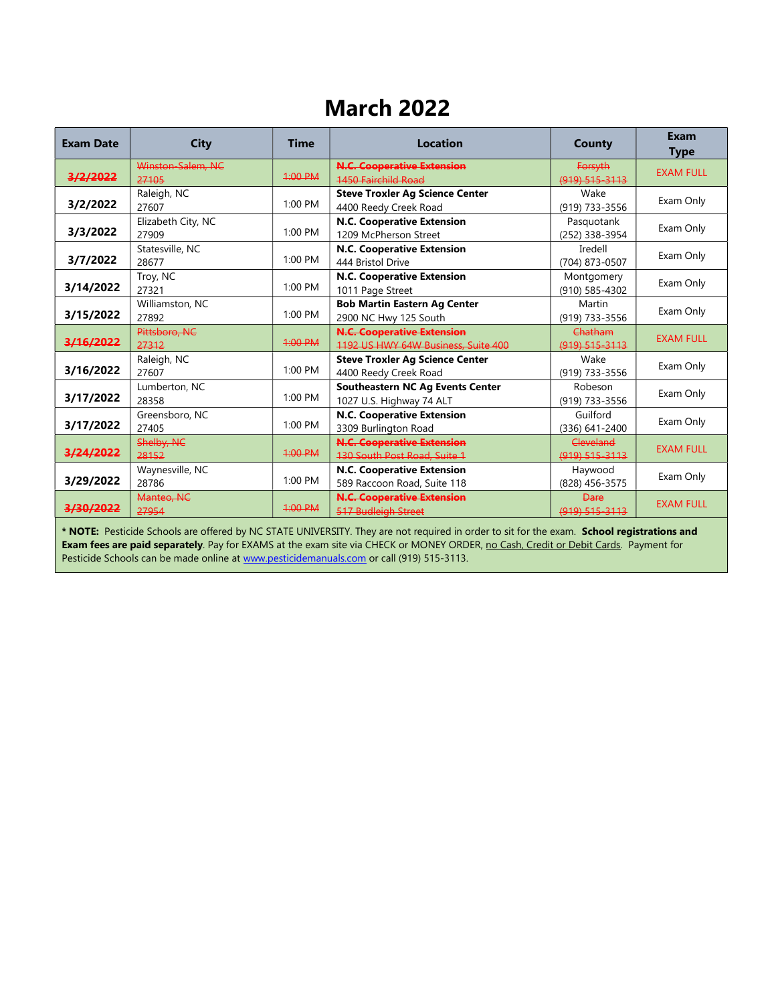### March 2022

| <b>Exam Date</b> | <b>City</b>                 | <b>Time</b> | <b>Location</b>                                                          | <b>County</b>                 | Exam<br><b>Type</b> |
|------------------|-----------------------------|-------------|--------------------------------------------------------------------------|-------------------------------|---------------------|
| 3/2/2022         | Winston-Salem, NC<br>27105  | 1:00 PM     | <b>N.C. Cooperative Extension</b><br><b>1450 Fairchild Road</b>          | Forsyth<br>(919) 515-3113     | <b>EXAM FULL</b>    |
| 3/2/2022         | Raleigh, NC<br>27607        | 1:00 PM     | <b>Steve Troxler Ag Science Center</b><br>4400 Reedy Creek Road          | Wake<br>(919) 733-3556        | Exam Only           |
| 3/3/2022         | Elizabeth City, NC<br>27909 | $1:00$ PM   | N.C. Cooperative Extension<br>1209 McPherson Street                      | Pasquotank<br>(252) 338-3954  | Exam Only           |
| 3/7/2022         | Statesville, NC<br>28677    | 1:00 PM     | N.C. Cooperative Extension<br>444 Bristol Drive                          | Iredell<br>(704) 873-0507     | Exam Only           |
| 3/14/2022        | Troy, NC<br>27321           | $1:00$ PM   | N.C. Cooperative Extension<br>1011 Page Street                           | Montgomery<br>(910) 585-4302  | Exam Only           |
| 3/15/2022        | Williamston, NC<br>27892    | 1:00 PM     | <b>Bob Martin Eastern Ag Center</b><br>2900 NC Hwy 125 South             | Martin<br>(919) 733-3556      | Exam Only           |
| 3/16/2022        | Pittsboro, NC<br>27312      | $4:00$ PM   | <b>N.C. Cooperative Extension</b><br>1192 US HWY 64W Business, Suite 400 | Chatham<br>$(919) 515 - 3113$ | <b>EXAM FULL</b>    |
| 3/16/2022        | Raleigh, NC<br>27607        | $1:00$ PM   | <b>Steve Troxler Ag Science Center</b><br>4400 Reedy Creek Road          | Wake<br>(919) 733-3556        | Exam Only           |
| 3/17/2022        | Lumberton, NC<br>28358      | 1:00 PM     | <b>Southeastern NC Ag Events Center</b><br>1027 U.S. Highway 74 ALT      | Robeson<br>(919) 733-3556     | Exam Only           |
| 3/17/2022        | Greensboro, NC<br>27405     | $1:00$ PM   | N.C. Cooperative Extension<br>3309 Burlington Road                       | Guilford<br>(336) 641-2400    | Exam Only           |
| 3/24/2022        | Shelby, NC<br>28152         | $4:00$ PM   | <b>N.C. Cooperative Extension</b><br>130 South Post Road, Suite 1        | Cleveland<br>(919) 515-3113   | <b>EXAM FULL</b>    |
| 3/29/2022        | Waynesville, NC<br>28786    | $1:00$ PM   | N.C. Cooperative Extension<br>589 Raccoon Road, Suite 118                | Haywood<br>(828) 456-3575     | Exam Only           |
| 3/30/2022        | Manteo, NC<br>27954         | $4:00$ PM   | <b>N.C. Cooperative Extension</b><br>517 Budleigh Street                 | <b>Dare</b><br>(919) 515-3113 | <b>EXAM FULL</b>    |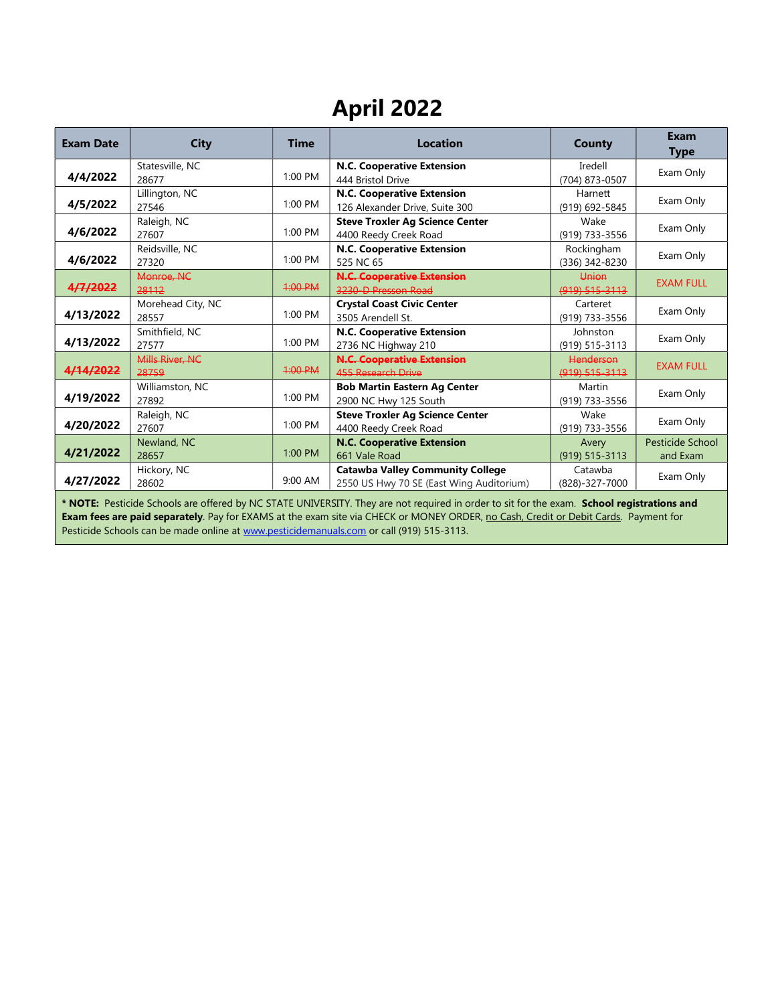# April 2022

| <b>Exam Date</b> | <b>City</b>                | <b>Time</b> | <b>Location</b>                                                                     | <b>County</b>                 | Exam<br><b>Type</b>          |
|------------------|----------------------------|-------------|-------------------------------------------------------------------------------------|-------------------------------|------------------------------|
| 4/4/2022         | Statesville, NC<br>28677   | $1:00$ PM   | N.C. Cooperative Extension<br>444 Bristol Drive                                     | Iredell<br>(704) 873-0507     | Exam Only                    |
| 4/5/2022         | Lillington, NC<br>27546    | 1:00 PM     | N.C. Cooperative Extension<br>126 Alexander Drive, Suite 300                        | Harnett<br>(919) 692-5845     | Exam Only                    |
| 4/6/2022         | Raleigh, NC<br>27607       | $1:00$ PM   | <b>Steve Troxler Ag Science Center</b><br>4400 Reedy Creek Road                     | Wake<br>(919) 733-3556        | Exam Only                    |
| 4/6/2022         | Reidsville, NC<br>27320    | $1:00$ PM   | N.C. Cooperative Extension<br>525 NC 65                                             | Rockingham<br>(336) 342-8230  | Exam Only                    |
| 4/7/2022         | Monroe, NC<br>28112        | $4:00$ PM   | <b>N.C. Cooperative Extension</b><br>3230-D Presson Road                            | Union<br>$(919)$ 515-3113     | <b>EXAM FULL</b>             |
| 4/13/2022        | Morehead City, NC<br>28557 | $1:00$ PM   | <b>Crystal Coast Civic Center</b><br>3505 Arendell St.                              | Carteret<br>(919) 733-3556    | Exam Only                    |
| 4/13/2022        | Smithfield, NC<br>27577    | 1:00 PM     | N.C. Cooperative Extension<br>2736 NC Highway 210                                   | Johnston<br>(919) 515-3113    | Exam Only                    |
| 4/14/2022        | Mills River, NC<br>28759   | $4:00$ PM   | <b>N.C. Cooperative Extension</b><br>455 Research Drive                             | Henderson<br>$(919)$ 515-3113 | <b>EXAM FULL</b>             |
| 4/19/2022        | Williamston, NC<br>27892   | $1:00$ PM   | <b>Bob Martin Eastern Ag Center</b><br>2900 NC Hwy 125 South                        | Martin<br>(919) 733-3556      | Exam Only                    |
| 4/20/2022        | Raleigh, NC<br>27607       | 1:00 PM     | <b>Steve Troxler Ag Science Center</b><br>4400 Reedy Creek Road                     | Wake<br>(919) 733-3556        | Exam Only                    |
| 4/21/2022        | Newland, NC<br>28657       | 1:00 PM     | <b>N.C. Cooperative Extension</b><br>661 Vale Road                                  | Avery<br>$(919) 515 - 3113$   | Pesticide School<br>and Exam |
| 4/27/2022        | Hickory, NC<br>28602       | $9:00$ AM   | <b>Catawba Valley Community College</b><br>2550 US Hwy 70 SE (East Wing Auditorium) | Catawba<br>(828)-327-7000     | Exam Only                    |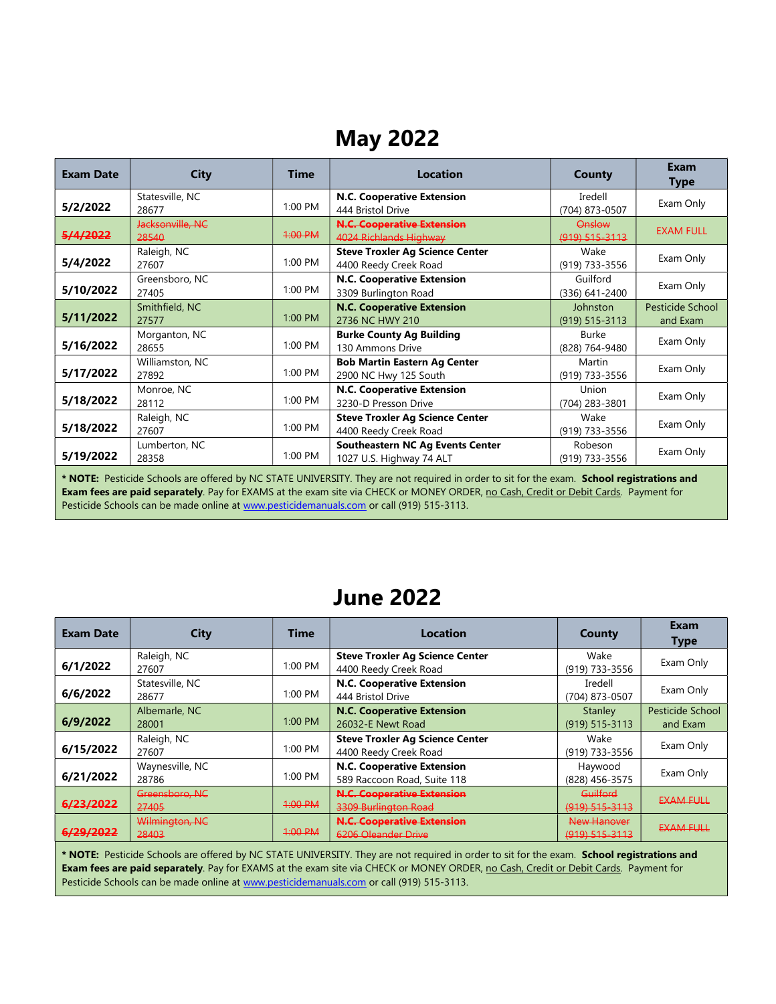## May 2022

| <b>Exam Date</b>                                                                                                                                                                                                                                                                          | <b>City</b>               | <b>Time</b> | <b>Location</b>                                                     | <b>County</b>                  | <b>Exam</b><br><b>Type</b>   |
|-------------------------------------------------------------------------------------------------------------------------------------------------------------------------------------------------------------------------------------------------------------------------------------------|---------------------------|-------------|---------------------------------------------------------------------|--------------------------------|------------------------------|
| 5/2/2022                                                                                                                                                                                                                                                                                  | Statesville, NC<br>28677  | 1:00 PM     | N.C. Cooperative Extension<br>444 Bristol Drive                     | Iredell<br>(704) 873-0507      | Exam Only                    |
| 5/4/2022                                                                                                                                                                                                                                                                                  | Jacksonville, NC<br>28540 | 1:00 PM     | <b>N.C. Cooperative Extension</b><br>4024 Richlands Highway         | Onslow<br>(919) 515-3113       | <b>EXAM FULL</b>             |
| 5/4/2022                                                                                                                                                                                                                                                                                  | Raleigh, NC<br>27607      | 1:00 PM     | <b>Steve Troxler Ag Science Center</b><br>4400 Reedy Creek Road     | Wake<br>(919) 733-3556         | Exam Only                    |
| 5/10/2022                                                                                                                                                                                                                                                                                 | Greensboro, NC<br>27405   | 1:00 PM     | N.C. Cooperative Extension<br>3309 Burlington Road                  | Guilford<br>$(336)$ 641-2400   | Exam Only                    |
| 5/11/2022                                                                                                                                                                                                                                                                                 | Smithfield, NC<br>27577   | 1:00 PM     | <b>N.C. Cooperative Extension</b><br>2736 NC HWY 210                | Johnston<br>$(919) 515 - 3113$ | Pesticide School<br>and Exam |
| 5/16/2022                                                                                                                                                                                                                                                                                 | Morganton, NC<br>28655    | 1:00 PM     | <b>Burke County Ag Building</b><br>130 Ammons Drive                 | Burke<br>(828) 764-9480        | Exam Only                    |
| 5/17/2022                                                                                                                                                                                                                                                                                 | Williamston, NC<br>27892  | $1:00$ PM   | <b>Bob Martin Eastern Ag Center</b><br>2900 NC Hwy 125 South        | Martin<br>(919) 733-3556       | Exam Only                    |
| 5/18/2022                                                                                                                                                                                                                                                                                 | Monroe, NC<br>28112       | $1:00$ PM   | N.C. Cooperative Extension<br>3230-D Presson Drive                  | Union<br>(704) 283-3801        | Exam Only                    |
| 5/18/2022                                                                                                                                                                                                                                                                                 | Raleigh, NC<br>27607      | 1:00 PM     | <b>Steve Troxler Ag Science Center</b><br>4400 Reedy Creek Road     | Wake<br>(919) 733-3556         | Exam Only                    |
| 5/19/2022                                                                                                                                                                                                                                                                                 | Lumberton, NC<br>28358    | 1:00 PM     | <b>Southeastern NC Ag Events Center</b><br>1027 U.S. Highway 74 ALT | Robeson<br>(919) 733-3556      | Exam Only                    |
| * NOTE: Pesticide Schools are offered by NC STATE UNIVERSITY. They are not required in order to sit for the exam. School registrations and<br><b>Exam fees are paid separately</b> . Pay for EXAMS at the exam site via CHECK or MONEY ORDER, no Cash, Credit or Debit Cards. Payment for |                           |             |                                                                     |                                |                              |

Pesticide Schools can be made online at www.pesticidemanuals.com or call (919) 515-3113.

### June 2022

| <b>Exam Date</b>     | City            | <b>Time</b> | <b>Location</b>                        | County                | Exam<br><b>Type</b> |
|----------------------|-----------------|-------------|----------------------------------------|-----------------------|---------------------|
|                      | Raleigh, NC     | $1:00$ PM   | <b>Steve Troxler Ag Science Center</b> | Wake                  | Exam Only           |
| 6/1/2022             | 27607           |             | 4400 Reedy Creek Road                  | (919) 733-3556        |                     |
|                      | Statesville, NC |             | <b>N.C. Cooperative Extension</b>      | Iredell               |                     |
| 6/6/2022             | 28677           | 1:00 PM     | 444 Bristol Drive                      | (704) 873-0507        | Exam Only           |
|                      | Albemarle, NC   |             | <b>N.C. Cooperative Extension</b>      | Stanley               | Pesticide School    |
| 6/9/2022             | 28001           | $1:00$ PM   | 26032-E Newt Road                      | $(919) 515 - 3113$    | and Exam            |
|                      | Raleigh, NC     |             | <b>Steve Troxler Ag Science Center</b> | Wake                  |                     |
| 6/15/2022            | 27607           | $1:00$ PM   | 4400 Reedy Creek Road                  | (919) 733-3556        | Exam Only           |
|                      | Waynesville, NC |             | <b>N.C. Cooperative Extension</b>      | Haywood               |                     |
| 6/21/2022            | 28786           | $1:00$ PM   | 589 Raccoon Road, Suite 118            | (828) 456-3575        | Exam Only           |
|                      | Greensboro, NC  |             | <b>N.C. Cooperative Extension</b>      | Guilford              | <b>EXAM FULL</b>    |
| <del>6/23/2022</del> | 27405           | $1:00$ PM   | 3309 Burlington Road                   | (919) 515-3113        |                     |
|                      | Wilmington, NC  |             | <b>N.C. Cooperative Extension</b>      | New Hanover           |                     |
| <u>6/29/2022</u>     | 28403           | 1:00 PM     | 6206 Oleander Drive                    | <u>(919) 515-3113</u> | <b>EXAM FULL</b>    |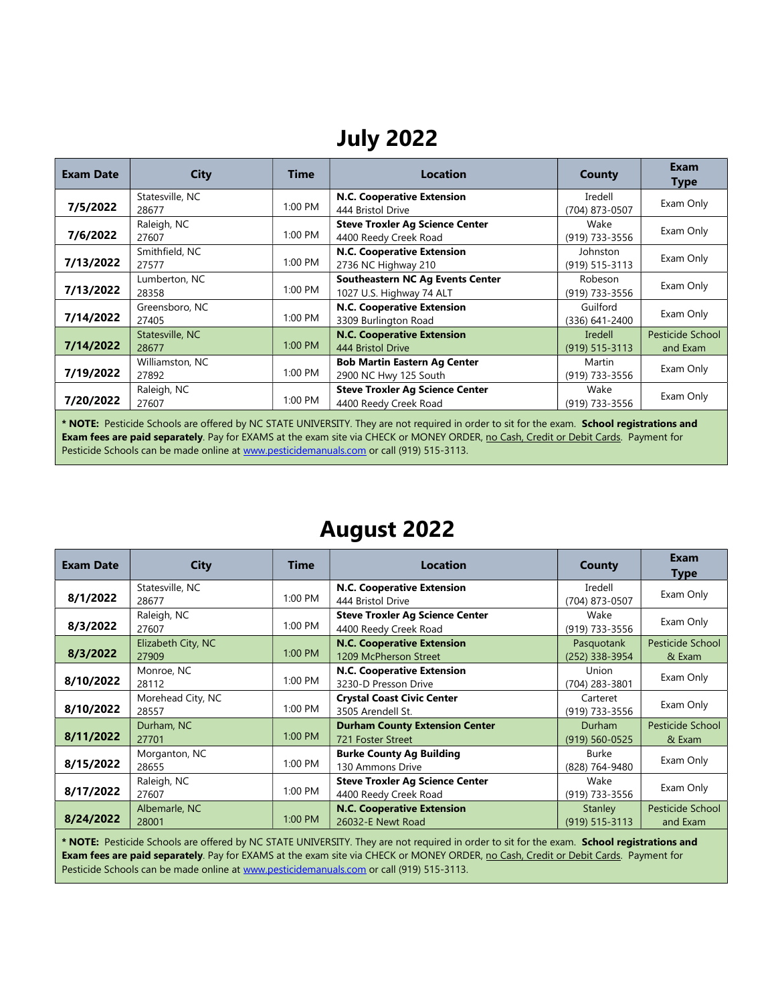## July 2022

| <b>Exam Date</b>           | <b>City</b>     | <b>Time</b> | <b>Location</b>                                                                      | County                                   | Exam<br><b>Type</b>          |
|----------------------------|-----------------|-------------|--------------------------------------------------------------------------------------|------------------------------------------|------------------------------|
| 7/5/2022                   | Statesville, NC | $1:00$ PM   | N.C. Cooperative Extension                                                           | Iredell                                  | Exam Only                    |
| 28677<br>7/6/2022<br>27607 | Raleigh, NC     | 1:00 PM     | 444 Bristol Drive<br><b>Steve Troxler Ag Science Center</b><br>4400 Reedy Creek Road | (704) 873-0507<br>Wake<br>(919) 733-3556 | Exam Only                    |
| 7/13/2022<br>27577         | Smithfield, NC  | 1:00 PM     | N.C. Cooperative Extension<br>2736 NC Highway 210                                    | Johnston<br>(919) 515-3113               | Exam Only                    |
| 7/13/2022<br>28358         | Lumberton, NC   | 1:00 PM     | <b>Southeastern NC Ag Events Center</b><br>1027 U.S. Highway 74 ALT                  | Robeson<br>(919) 733-3556                | Exam Only                    |
| 7/14/2022<br>27405         | Greensboro, NC  | 1:00 PM     | N.C. Cooperative Extension<br>3309 Burlington Road                                   | Guilford<br>(336) 641-2400               | Exam Only                    |
| 7/14/2022<br>28677         | Statesville, NC | 1:00 PM     | <b>N.C. Cooperative Extension</b><br>444 Bristol Drive                               | Iredell<br>$(919)$ 515-3113              | Pesticide School<br>and Exam |
| 7/19/2022<br>27892         | Williamston, NC | 1:00 PM     | <b>Bob Martin Eastern Ag Center</b><br>2900 NC Hwy 125 South                         | Martin<br>(919) 733-3556                 | Exam Only                    |
| 7/20/2022<br>27607         | Raleigh, NC     | 1:00 PM     | <b>Steve Troxler Ag Science Center</b><br>4400 Reedy Creek Road                      | Wake<br>(919) 733-3556                   | Exam Only                    |

\* NOTE: Pesticide Schools are offered by NC STATE UNIVERSITY. They are not required in order to sit for the exam. School registrations and Exam fees are paid separately. Pay for EXAMS at the exam site via CHECK or MONEY ORDER, no Cash, Credit or Debit Cards. Payment for Pesticide Schools can be made online at www.pesticidemanuals.com or call (919) 515-3113.

#### August 2022

| <b>Exam Date</b> | City                        | <b>Time</b> | <b>Location</b>                                                 | County                              | Exam<br><b>Type</b>          |
|------------------|-----------------------------|-------------|-----------------------------------------------------------------|-------------------------------------|------------------------------|
| 8/1/2022         | Statesville, NC<br>28677    | 1:00 PM     | N.C. Cooperative Extension<br>444 Bristol Drive                 | Iredell<br>(704) 873-0507           | Exam Only                    |
| 8/3/2022         | Raleigh, NC<br>27607        | 1:00 PM     | <b>Steve Troxler Ag Science Center</b><br>4400 Reedy Creek Road | Wake<br>(919) 733-3556              | Exam Only                    |
| 8/3/2022         | Elizabeth City, NC<br>27909 | 1:00 PM     | <b>N.C. Cooperative Extension</b><br>1209 McPherson Street      | Pasquotank<br>(252) 338-3954        | Pesticide School<br>& Exam   |
| 8/10/2022        | Monroe, NC<br>28112         | 1:00 PM     | <b>N.C. Cooperative Extension</b><br>3230-D Presson Drive       | Union<br>(704) 283-3801             | Exam Only                    |
| 8/10/2022        | Morehead City, NC<br>28557  | 1:00 PM     | <b>Crystal Coast Civic Center</b><br>3505 Arendell St.          | Carteret<br>(919) 733-3556          | Exam Only                    |
| 8/11/2022        | Durham, NC<br>27701         | $1:00$ PM   | <b>Durham County Extension Center</b><br>721 Foster Street      | <b>Durham</b><br>$(919) 560 - 0525$ | Pesticide School<br>& Exam   |
| 8/15/2022        | Morganton, NC<br>28655      | 1:00 PM     | <b>Burke County Ag Building</b><br>130 Ammons Drive             | Burke<br>(828) 764-9480             | Exam Only                    |
| 8/17/2022        | Raleigh, NC<br>27607        | 1:00 PM     | <b>Steve Troxler Ag Science Center</b><br>4400 Reedy Creek Road | Wake<br>(919) 733-3556              | Exam Only                    |
| 8/24/2022        | Albemarle, NC<br>28001      | $1:00$ PM   | <b>N.C. Cooperative Extension</b><br>26032-E Newt Road          | Stanley<br>$(919) 515 - 3113$       | Pesticide School<br>and Exam |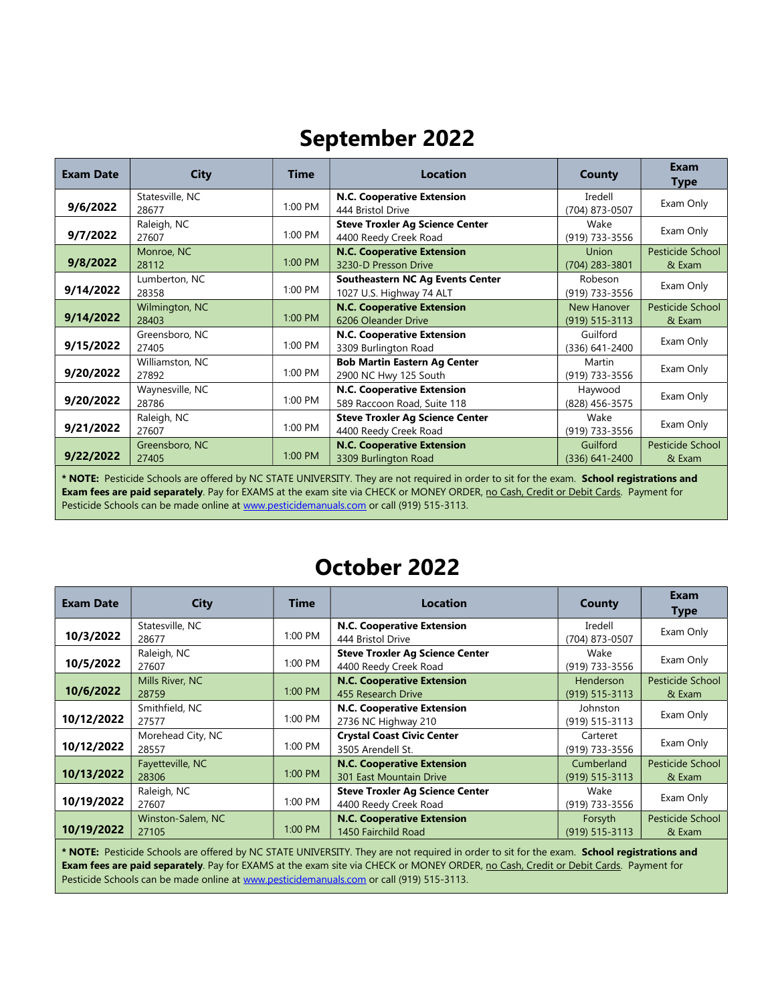## September 2022

| <b>Exam Date</b>                                                                                                                                                                                                                                                                  | <b>City</b>              | <b>Time</b> | <b>Location</b>                                                     | <b>County</b>                     | Exam<br><b>Type</b>        |
|-----------------------------------------------------------------------------------------------------------------------------------------------------------------------------------------------------------------------------------------------------------------------------------|--------------------------|-------------|---------------------------------------------------------------------|-----------------------------------|----------------------------|
| 9/6/2022                                                                                                                                                                                                                                                                          | Statesville, NC<br>28677 | 1:00 PM     | N.C. Cooperative Extension<br>444 Bristol Drive                     | Iredell<br>(704) 873-0507         | Exam Only                  |
| 9/7/2022                                                                                                                                                                                                                                                                          | Raleigh, NC<br>27607     | 1:00 PM     | <b>Steve Troxler Ag Science Center</b><br>4400 Reedy Creek Road     | Wake<br>(919) 733-3556            | Exam Only                  |
| 9/8/2022                                                                                                                                                                                                                                                                          | Monroe, NC<br>28112      | 1:00 PM     | <b>N.C. Cooperative Extension</b><br>3230-D Presson Drive           | <b>Union</b><br>(704) 283-3801    | Pesticide School<br>& Exam |
| 9/14/2022                                                                                                                                                                                                                                                                         | Lumberton, NC<br>28358   | 1:00 PM     | <b>Southeastern NC Ag Events Center</b><br>1027 U.S. Highway 74 ALT | Robeson<br>(919) 733-3556         | Exam Only                  |
| 9/14/2022                                                                                                                                                                                                                                                                         | Wilmington, NC<br>28403  | 1:00 PM     | <b>N.C. Cooperative Extension</b><br>6206 Oleander Drive            | New Hanover<br>$(919) 515 - 3113$ | Pesticide School<br>& Exam |
| 9/15/2022                                                                                                                                                                                                                                                                         | Greensboro, NC<br>27405  | 1:00 PM     | N.C. Cooperative Extension<br>3309 Burlington Road                  | Guilford<br>(336) 641-2400        | Exam Only                  |
| 9/20/2022                                                                                                                                                                                                                                                                         | Williamston, NC<br>27892 | 1:00 PM     | <b>Bob Martin Eastern Ag Center</b><br>2900 NC Hwy 125 South        | Martin<br>(919) 733-3556          | Exam Only                  |
| 9/20/2022                                                                                                                                                                                                                                                                         | Waynesville, NC<br>28786 | 1:00 PM     | N.C. Cooperative Extension<br>589 Raccoon Road, Suite 118           | Haywood<br>(828) 456-3575         | Exam Only                  |
| 9/21/2022                                                                                                                                                                                                                                                                         | Raleigh, NC<br>27607     | 1:00 PM     | <b>Steve Troxler Ag Science Center</b><br>4400 Reedy Creek Road     | Wake<br>(919) 733-3556            | Exam Only                  |
| 9/22/2022                                                                                                                                                                                                                                                                         | Greensboro, NC<br>27405  | 1:00 PM     | <b>N.C. Cooperative Extension</b><br>3309 Burlington Road           | Guilford<br>$(336)$ 641-2400      | Pesticide School<br>& Exam |
| * NOTE: Pesticide Schools are offered by NC STATE UNIVERSITY. They are not required in order to sit for the exam. School registrations and<br>Exam fees are paid separately. Pay for EXAMS at the exam site via CHECK or MONEY ORDER, no Cash, Credit or Debit Cards. Payment for |                          |             |                                                                     |                                   |                            |

Pesticide Schools can be made online at www.pesticidemanuals.com or call (919) 515-3113.

### October 2022

| <b>Exam Date</b> | City                       | <b>Time</b> | <b>Location</b>                                                     | County                           | <b>Exam</b><br><b>Type</b> |
|------------------|----------------------------|-------------|---------------------------------------------------------------------|----------------------------------|----------------------------|
| 10/3/2022        | Statesville, NC<br>28677   | 1:00 PM     | <b>N.C. Cooperative Extension</b><br>444 Bristol Drive              | Iredell<br>(704) 873-0507        | Exam Only                  |
| 10/5/2022        | Raleigh, NC<br>27607       | 1:00 PM     | <b>Steve Troxler Ag Science Center</b><br>4400 Reedy Creek Road     | Wake<br>(919) 733-3556           | Exam Only                  |
| 10/6/2022        | Mills River, NC<br>28759   | 1:00 PM     | <b>N.C. Cooperative Extension</b><br>455 Research Drive             | Henderson<br>$(919) 515 - 3113$  | Pesticide School<br>& Exam |
| 10/12/2022       | Smithfield, NC<br>27577    | 1:00 PM     | <b>N.C. Cooperative Extension</b><br>2736 NC Highway 210            | Johnston<br>(919) 515-3113       | Exam Only                  |
| 10/12/2022       | Morehead City, NC<br>28557 | 1:00 PM     | <b>Crystal Coast Civic Center</b><br>3505 Arendell St.              | Carteret<br>(919) 733-3556       | Exam Only                  |
| 10/13/2022       | Fayetteville, NC<br>28306  | 1:00 PM     | <b>N.C. Cooperative Extension</b><br><b>301 East Mountain Drive</b> | Cumberland<br>$(919) 515 - 3113$ | Pesticide School<br>& Exam |
| 10/19/2022       | Raleigh, NC<br>27607       | 1:00 PM     | <b>Steve Troxler Ag Science Center</b><br>4400 Reedy Creek Road     | Wake<br>(919) 733-3556           | Exam Only                  |
| 10/19/2022       | Winston-Salem, NC<br>27105 | 1:00 PM     | <b>N.C. Cooperative Extension</b><br>1450 Fairchild Road            | Forsyth<br>$(919) 515 - 3113$    | Pesticide School<br>& Exam |